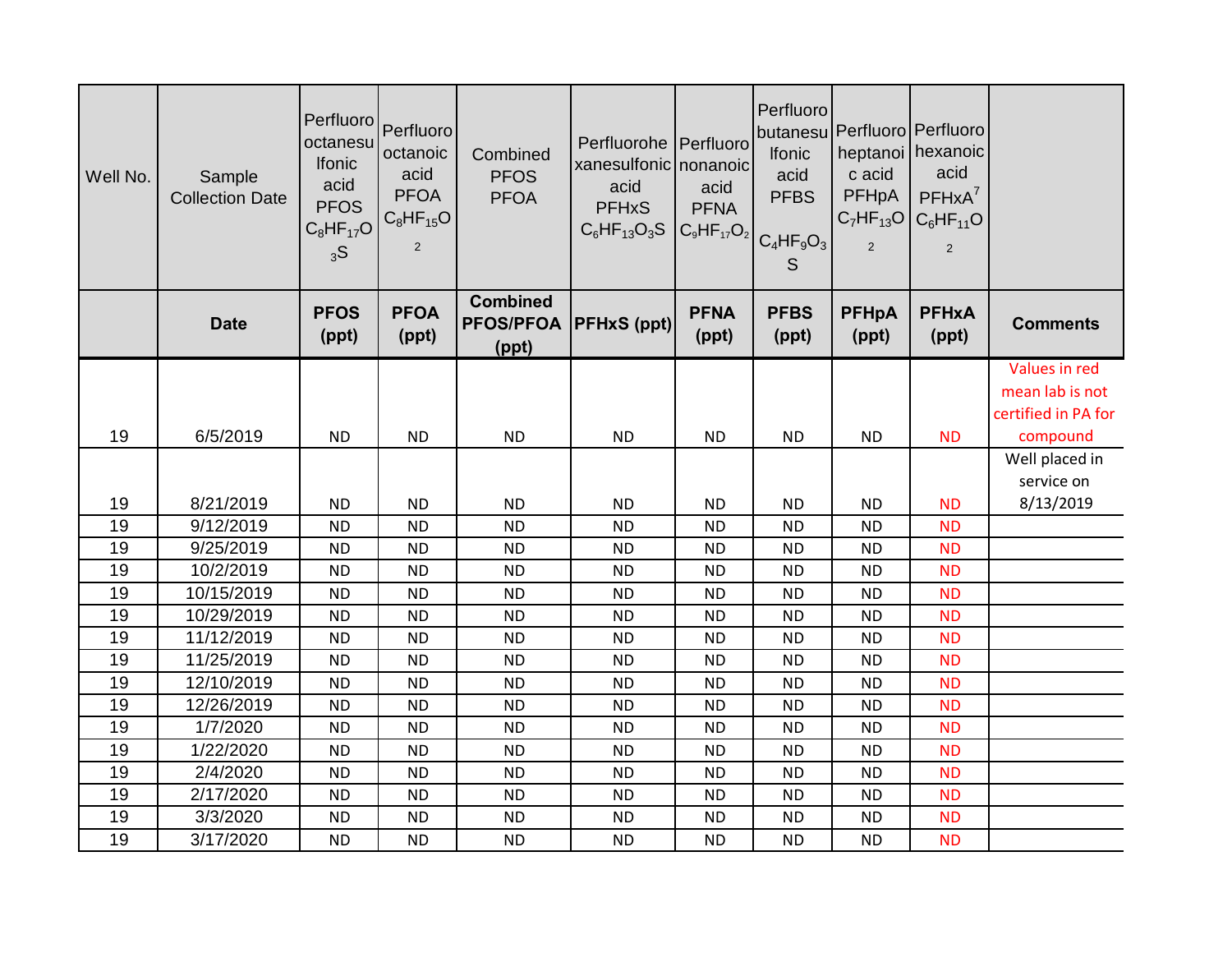| Well No. | Sample<br><b>Collection Date</b> | Perfluoro<br>octanesu<br><b>Ifonic</b><br>acid<br><b>PFOS</b><br>$C_8HF_{17}O$<br>3S | Perfluoro<br>octanoic<br>acid<br><b>PFOA</b><br>$C_8HF_{15}O$<br>2 | Combined<br><b>PFOS</b><br><b>PFOA</b>       | Perfluorohe Perfluoro<br>xanesulfonic nonanoic<br>acid<br><b>PFHxS</b><br>$C_6HF_{13}O_3S$ | acid<br><b>PFNA</b>  | Perfluoro<br><b>Ifonic</b><br>acid<br><b>PFBS</b><br>$ C_9HF_{17}O_2 $ <sub>C<sub>4</sub>HF<sub>9</sub>O<sub>3</sub><sup>1</sup></sub><br>S | butanesu Perfluoro Perfluoro<br>c acid<br>PFHpA<br>2 | heptanoi   hexanoic<br>acid<br>$PFHxA^7$<br>$C_7HF_{13}O$ $C_6HF_{11}O$<br>$\sqrt{2}$ |                                 |
|----------|----------------------------------|--------------------------------------------------------------------------------------|--------------------------------------------------------------------|----------------------------------------------|--------------------------------------------------------------------------------------------|----------------------|---------------------------------------------------------------------------------------------------------------------------------------------|------------------------------------------------------|---------------------------------------------------------------------------------------|---------------------------------|
|          | <b>Date</b>                      | <b>PFOS</b><br>(ppt)                                                                 | <b>PFOA</b><br>(ppt)                                               | <b>Combined</b><br><b>PFOS/PFOA</b><br>(ppt) | <b>PFHxS (ppt)</b>                                                                         | <b>PFNA</b><br>(ppt) | <b>PFBS</b><br>(ppt)                                                                                                                        | <b>PFHpA</b><br>(ppt)                                | <b>PFHxA</b><br>(ppt)                                                                 | <b>Comments</b>                 |
|          |                                  |                                                                                      |                                                                    |                                              |                                                                                            |                      |                                                                                                                                             |                                                      |                                                                                       | Values in red                   |
|          |                                  |                                                                                      |                                                                    |                                              |                                                                                            |                      |                                                                                                                                             |                                                      |                                                                                       | mean lab is not                 |
| 19       | 6/5/2019                         | <b>ND</b>                                                                            | <b>ND</b>                                                          | <b>ND</b>                                    | <b>ND</b>                                                                                  | <b>ND</b>            | <b>ND</b>                                                                                                                                   | <b>ND</b>                                            | <b>ND</b>                                                                             | certified in PA for<br>compound |
|          |                                  |                                                                                      |                                                                    |                                              |                                                                                            |                      |                                                                                                                                             |                                                      |                                                                                       | Well placed in                  |
|          |                                  |                                                                                      |                                                                    |                                              |                                                                                            |                      |                                                                                                                                             |                                                      |                                                                                       | service on                      |
| 19       | 8/21/2019                        | <b>ND</b>                                                                            | <b>ND</b>                                                          | <b>ND</b>                                    | <b>ND</b>                                                                                  | <b>ND</b>            | <b>ND</b>                                                                                                                                   | <b>ND</b>                                            | <b>ND</b>                                                                             | 8/13/2019                       |
| 19       | 9/12/2019                        | <b>ND</b>                                                                            | <b>ND</b>                                                          | <b>ND</b>                                    | <b>ND</b>                                                                                  | <b>ND</b>            | <b>ND</b>                                                                                                                                   | <b>ND</b>                                            | <b>ND</b>                                                                             |                                 |
| 19       | 9/25/2019                        | <b>ND</b>                                                                            | <b>ND</b>                                                          | <b>ND</b>                                    | <b>ND</b>                                                                                  | <b>ND</b>            | <b>ND</b>                                                                                                                                   | <b>ND</b>                                            | <b>ND</b>                                                                             |                                 |
| 19       | 10/2/2019                        | <b>ND</b>                                                                            | <b>ND</b>                                                          | <b>ND</b>                                    | <b>ND</b>                                                                                  | <b>ND</b>            | <b>ND</b>                                                                                                                                   | <b>ND</b>                                            | <b>ND</b>                                                                             |                                 |
| 19       | 10/15/2019                       | <b>ND</b>                                                                            | <b>ND</b>                                                          | <b>ND</b>                                    | <b>ND</b>                                                                                  | <b>ND</b>            | <b>ND</b>                                                                                                                                   | <b>ND</b>                                            | <b>ND</b>                                                                             |                                 |
| 19       | 10/29/2019                       | <b>ND</b>                                                                            | <b>ND</b>                                                          | <b>ND</b>                                    | <b>ND</b>                                                                                  | <b>ND</b>            | <b>ND</b>                                                                                                                                   | <b>ND</b>                                            | <b>ND</b>                                                                             |                                 |
| 19       | 11/12/2019                       | <b>ND</b>                                                                            | <b>ND</b>                                                          | <b>ND</b>                                    | <b>ND</b>                                                                                  | <b>ND</b>            | <b>ND</b>                                                                                                                                   | <b>ND</b>                                            | <b>ND</b>                                                                             |                                 |
| 19       | 11/25/2019                       | <b>ND</b>                                                                            | <b>ND</b>                                                          | <b>ND</b>                                    | <b>ND</b>                                                                                  | <b>ND</b>            | <b>ND</b>                                                                                                                                   | <b>ND</b>                                            | <b>ND</b>                                                                             |                                 |
| 19       | 12/10/2019                       | <b>ND</b>                                                                            | <b>ND</b>                                                          | <b>ND</b>                                    | <b>ND</b>                                                                                  | <b>ND</b>            | <b>ND</b>                                                                                                                                   | <b>ND</b>                                            | <b>ND</b>                                                                             |                                 |
| 19       | 12/26/2019                       | <b>ND</b>                                                                            | <b>ND</b>                                                          | <b>ND</b>                                    | <b>ND</b>                                                                                  | <b>ND</b>            | <b>ND</b>                                                                                                                                   | <b>ND</b>                                            | <b>ND</b>                                                                             |                                 |
| 19       | 1/7/2020                         | <b>ND</b>                                                                            | <b>ND</b>                                                          | <b>ND</b>                                    | <b>ND</b>                                                                                  | <b>ND</b>            | <b>ND</b>                                                                                                                                   | <b>ND</b>                                            | <b>ND</b>                                                                             |                                 |
| 19       | 1/22/2020                        | <b>ND</b>                                                                            | <b>ND</b>                                                          | <b>ND</b>                                    | <b>ND</b>                                                                                  | <b>ND</b>            | <b>ND</b>                                                                                                                                   | <b>ND</b>                                            | <b>ND</b>                                                                             |                                 |
| 19       | 2/4/2020                         | <b>ND</b>                                                                            | <b>ND</b>                                                          | <b>ND</b>                                    | <b>ND</b>                                                                                  | <b>ND</b>            | <b>ND</b>                                                                                                                                   | <b>ND</b>                                            | <b>ND</b>                                                                             |                                 |
| 19       | 2/17/2020                        | <b>ND</b>                                                                            | <b>ND</b>                                                          | <b>ND</b>                                    | <b>ND</b>                                                                                  | <b>ND</b>            | <b>ND</b>                                                                                                                                   | <b>ND</b>                                            | <b>ND</b>                                                                             |                                 |
| 19       | 3/3/2020                         | <b>ND</b>                                                                            | <b>ND</b>                                                          | <b>ND</b>                                    | <b>ND</b>                                                                                  | <b>ND</b>            | <b>ND</b>                                                                                                                                   | <b>ND</b>                                            | <b>ND</b>                                                                             |                                 |
| 19       | 3/17/2020                        | <b>ND</b>                                                                            | <b>ND</b>                                                          | <b>ND</b>                                    | <b>ND</b>                                                                                  | <b>ND</b>            | <b>ND</b>                                                                                                                                   | <b>ND</b>                                            | <b>ND</b>                                                                             |                                 |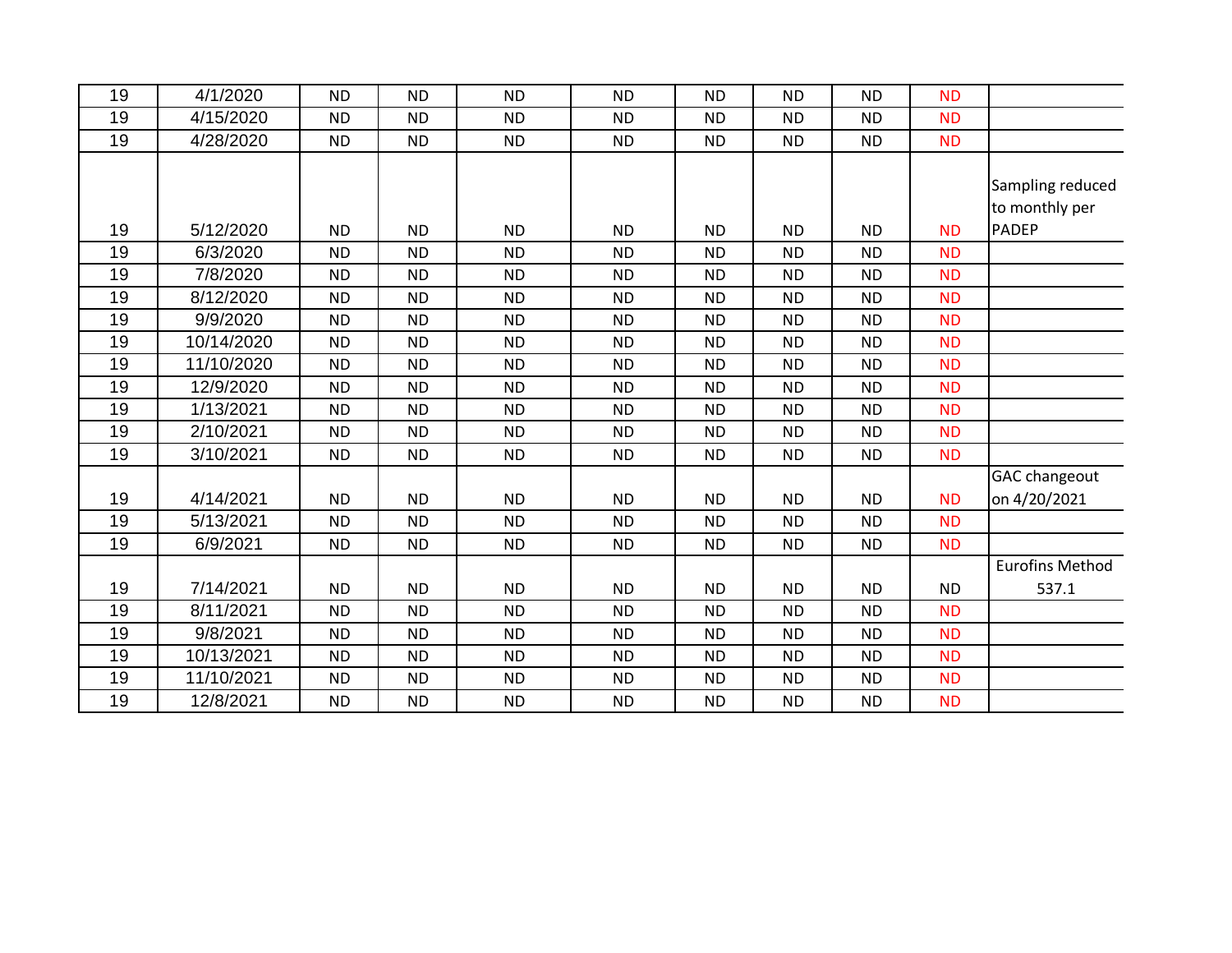| 19 | 4/1/2020   | <b>ND</b> | <b>ND</b> | <b>ND</b> | <b>ND</b> | <b>ND</b> | <b>ND</b> | <b>ND</b> | <b>ND</b> |                        |
|----|------------|-----------|-----------|-----------|-----------|-----------|-----------|-----------|-----------|------------------------|
| 19 | 4/15/2020  | <b>ND</b> | <b>ND</b> | <b>ND</b> | <b>ND</b> | <b>ND</b> | <b>ND</b> | <b>ND</b> | <b>ND</b> |                        |
| 19 | 4/28/2020  | <b>ND</b> | <b>ND</b> | <b>ND</b> | <b>ND</b> | <b>ND</b> | <b>ND</b> | <b>ND</b> | <b>ND</b> |                        |
|    |            |           |           |           |           |           |           |           |           |                        |
|    |            |           |           |           |           |           |           |           |           | Sampling reduced       |
|    |            |           |           |           |           |           |           |           |           | to monthly per         |
| 19 | 5/12/2020  | <b>ND</b> | <b>ND</b> | <b>ND</b> | <b>ND</b> | <b>ND</b> | <b>ND</b> | <b>ND</b> | <b>ND</b> | <b>PADEP</b>           |
| 19 | 6/3/2020   | <b>ND</b> | <b>ND</b> | <b>ND</b> | <b>ND</b> | <b>ND</b> | <b>ND</b> | <b>ND</b> | <b>ND</b> |                        |
| 19 | 7/8/2020   | <b>ND</b> | <b>ND</b> | <b>ND</b> | <b>ND</b> | <b>ND</b> | <b>ND</b> | <b>ND</b> | <b>ND</b> |                        |
| 19 | 8/12/2020  | <b>ND</b> | <b>ND</b> | <b>ND</b> | <b>ND</b> | <b>ND</b> | <b>ND</b> | <b>ND</b> | <b>ND</b> |                        |
| 19 | 9/9/2020   | <b>ND</b> | <b>ND</b> | <b>ND</b> | <b>ND</b> | <b>ND</b> | <b>ND</b> | <b>ND</b> | <b>ND</b> |                        |
| 19 | 10/14/2020 | <b>ND</b> | <b>ND</b> | <b>ND</b> | <b>ND</b> | <b>ND</b> | <b>ND</b> | <b>ND</b> | <b>ND</b> |                        |
| 19 | 11/10/2020 | <b>ND</b> | <b>ND</b> | <b>ND</b> | <b>ND</b> | <b>ND</b> | <b>ND</b> | <b>ND</b> | <b>ND</b> |                        |
| 19 | 12/9/2020  | <b>ND</b> | <b>ND</b> | <b>ND</b> | <b>ND</b> | <b>ND</b> | <b>ND</b> | <b>ND</b> | <b>ND</b> |                        |
| 19 | 1/13/2021  | <b>ND</b> | <b>ND</b> | <b>ND</b> | <b>ND</b> | <b>ND</b> | <b>ND</b> | <b>ND</b> | <b>ND</b> |                        |
| 19 | 2/10/2021  | <b>ND</b> | ND.       | <b>ND</b> | <b>ND</b> | <b>ND</b> | <b>ND</b> | <b>ND</b> | <b>ND</b> |                        |
| 19 | 3/10/2021  | <b>ND</b> | <b>ND</b> | <b>ND</b> | <b>ND</b> | <b>ND</b> | <b>ND</b> | <b>ND</b> | <b>ND</b> |                        |
|    |            |           |           |           |           |           |           |           |           | <b>GAC changeout</b>   |
| 19 | 4/14/2021  | <b>ND</b> | <b>ND</b> | <b>ND</b> | <b>ND</b> | <b>ND</b> | <b>ND</b> | <b>ND</b> | <b>ND</b> | on 4/20/2021           |
| 19 | 5/13/2021  | <b>ND</b> | <b>ND</b> | <b>ND</b> | <b>ND</b> | <b>ND</b> | <b>ND</b> | <b>ND</b> | <b>ND</b> |                        |
| 19 | 6/9/2021   | <b>ND</b> | <b>ND</b> | <b>ND</b> | <b>ND</b> | <b>ND</b> | <b>ND</b> | <b>ND</b> | <b>ND</b> |                        |
|    |            |           |           |           |           |           |           |           |           | <b>Eurofins Method</b> |
| 19 | 7/14/2021  | <b>ND</b> | <b>ND</b> | <b>ND</b> | <b>ND</b> | <b>ND</b> | <b>ND</b> | <b>ND</b> | <b>ND</b> | 537.1                  |
| 19 | 8/11/2021  | <b>ND</b> | <b>ND</b> | <b>ND</b> | <b>ND</b> | <b>ND</b> | <b>ND</b> | <b>ND</b> | <b>ND</b> |                        |
| 19 | 9/8/2021   | <b>ND</b> | <b>ND</b> | <b>ND</b> | <b>ND</b> | <b>ND</b> | <b>ND</b> | <b>ND</b> | <b>ND</b> |                        |
| 19 | 10/13/2021 | <b>ND</b> | <b>ND</b> | <b>ND</b> | <b>ND</b> | <b>ND</b> | <b>ND</b> | <b>ND</b> | <b>ND</b> |                        |
| 19 | 11/10/2021 | <b>ND</b> | <b>ND</b> | <b>ND</b> | <b>ND</b> | <b>ND</b> | <b>ND</b> | <b>ND</b> | <b>ND</b> |                        |
| 19 | 12/8/2021  | <b>ND</b> | <b>ND</b> | <b>ND</b> | <b>ND</b> | <b>ND</b> | <b>ND</b> | <b>ND</b> | <b>ND</b> |                        |